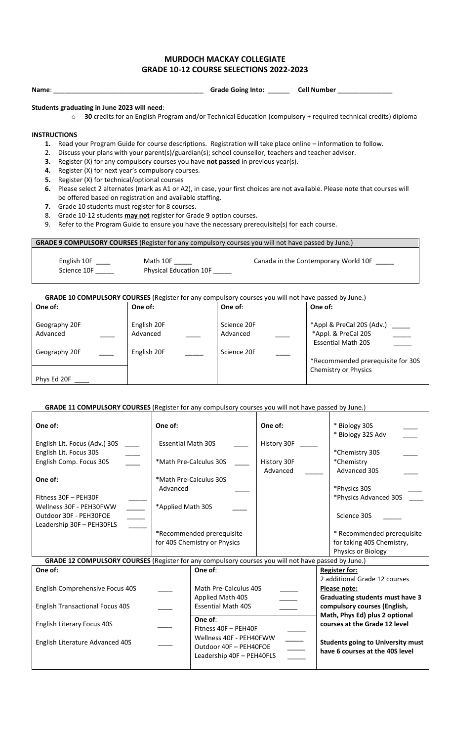## **MURDOCH MACKAY COLLEGIATE GRADE 10-12 COURSE SELECTIONS 2022-2023**

**Name**: \_\_\_\_\_\_\_\_\_\_\_\_\_\_\_\_\_\_\_\_\_\_\_\_\_\_\_\_\_\_\_\_\_\_\_\_\_\_\_\_\_ **Grade Going Into:** \_\_\_\_\_\_ **Cell Number** \_\_\_\_\_\_\_\_\_\_\_\_\_\_\_

 $\top$ 

## **Students graduating in June 2023 will need**:

o **30** credits for an English Program and/or Technical Education (compulsory + required technical credits) diploma

## **INSTRUCTIONS**

- **1.** Read your Program Guide for course descriptions. Registration will take place online information to follow.
- 2. Discuss your plans with your parent(s)/guardian(s); school counsellor, teachers and teacher advisor.
- **3.** Register (X) for any compulsory courses you have not passed in previous year(s).
- **4.** Register (X) for next year's compulsory courses.
- **5.** Register (X) for technical/optional courses
- **6.** Please select 2 alternates (mark as A1 or A2), in case, your first choices are not available. Please note that courses will be offered based on registration and available staffing.
- **7.** Grade 10 students must register for 8 courses.
- 8. Grade 10-12 students **may not** register for Grade 9 option courses.
- 9. Refer to the Program Guide to ensure you have the necessary prerequisite(s) for each course.

**GRADE 9 COMPULSORY COURSES** (Register for any compulsory courses you will not have passed by June.)

English 10F \_\_\_\_\_ Math 10F \_\_\_\_\_ Canada in the Contemporary World 10F \_\_\_\_\_ Science 10F \_\_\_\_\_\_ Physical Education 10F \_\_\_\_\_

**GRADE 10 COMPULSORY COURSES** (Register for any compulsory courses you will not have passed by June.)

| One of:                   | One of:                 | One of:                 | One of:                                                                       |
|---------------------------|-------------------------|-------------------------|-------------------------------------------------------------------------------|
| Geography 20F<br>Advanced | English 20F<br>Advanced | Science 20F<br>Advanced | *Appl & PreCal 20S (Adv.)<br>*Appl. & PreCal 20S<br><b>Essential Math 20S</b> |
| Geography 20F             | English 20F             | Science 20F             | *Recommended prerequisite for 30S                                             |
| Phys Ed 20F               |                         |                         | Chemistry or Physics                                                          |

## GRADE 11 COMPULSORY COURSES (Register for any compulsory courses you will not have passed by June.)

| One of:                                                                                             | One of:                      |                                                                                | One of:                   | * Biology 30S<br>* Biology 32S Adv                                          |                            |  |  |
|-----------------------------------------------------------------------------------------------------|------------------------------|--------------------------------------------------------------------------------|---------------------------|-----------------------------------------------------------------------------|----------------------------|--|--|
| English Lit. Focus (Adv.) 30S                                                                       | <b>Essential Math 30S</b>    |                                                                                | History 30F               |                                                                             |                            |  |  |
| English Lit. Focus 30S                                                                              |                              | *Math Pre-Calculus 30S                                                         |                           | *Chemistry 30S                                                              |                            |  |  |
| English Comp. Focus 30S                                                                             |                              |                                                                                | History 30F<br>Advanced   | *Chemistry<br>Advanced 30S                                                  |                            |  |  |
| One of:                                                                                             | *Math Pre-Calculus 30S       |                                                                                |                           |                                                                             |                            |  |  |
|                                                                                                     | Advanced                     |                                                                                |                           | *Physics 30S                                                                |                            |  |  |
| Fitness 30F - PEH30F                                                                                |                              |                                                                                |                           | *Physics Advanced 30S                                                       |                            |  |  |
| Wellness 30F - PEH30FWW                                                                             | *Applied Math 30S            |                                                                                |                           |                                                                             |                            |  |  |
| Outdoor 30F - PEH30FOE                                                                              |                              |                                                                                |                           | Science 30S                                                                 |                            |  |  |
| Leadership 30F - PEH30FLS                                                                           |                              |                                                                                |                           |                                                                             |                            |  |  |
|                                                                                                     | *Recommended prerequisite    |                                                                                |                           |                                                                             | * Recommended prerequisite |  |  |
|                                                                                                     | for 40S Chemistry or Physics |                                                                                | for taking 40S Chemistry, |                                                                             |                            |  |  |
|                                                                                                     |                              |                                                                                |                           |                                                                             | Physics or Biology         |  |  |
| GRADE 12 COMPULSORY COURSES (Register for any compulsory courses you will not have passed by June.) |                              |                                                                                |                           |                                                                             |                            |  |  |
| One of:                                                                                             |                              | One of:                                                                        | <b>Register for:</b>      |                                                                             |                            |  |  |
|                                                                                                     |                              |                                                                                |                           | 2 additional Grade 12 courses                                               |                            |  |  |
| English Comprehensive Focus 40S                                                                     |                              | Math Pre-Calculus 40S                                                          |                           | Please note:                                                                |                            |  |  |
|                                                                                                     |                              | Applied Math 40S                                                               |                           | Graduating students must have 3                                             |                            |  |  |
| <b>English Transactional Focus 40S</b>                                                              |                              | <b>Essential Math 40S</b>                                                      |                           | compulsory courses (English,                                                |                            |  |  |
| One of:<br><b>English Literary Focus 40S</b>                                                        |                              | Fitness 40F - PEH40F                                                           |                           | Math, Phys Ed) plus 2 optional<br>courses at the Grade 12 level             |                            |  |  |
| English Literature Advanced 40S                                                                     |                              | Wellness 40F - PEH40FWW<br>Outdoor 40F - PEH40FOE<br>Leadership 40F - PEH40FLS |                           | <b>Students going to University must</b><br>have 6 courses at the 40S level |                            |  |  |
|                                                                                                     |                              |                                                                                |                           |                                                                             |                            |  |  |